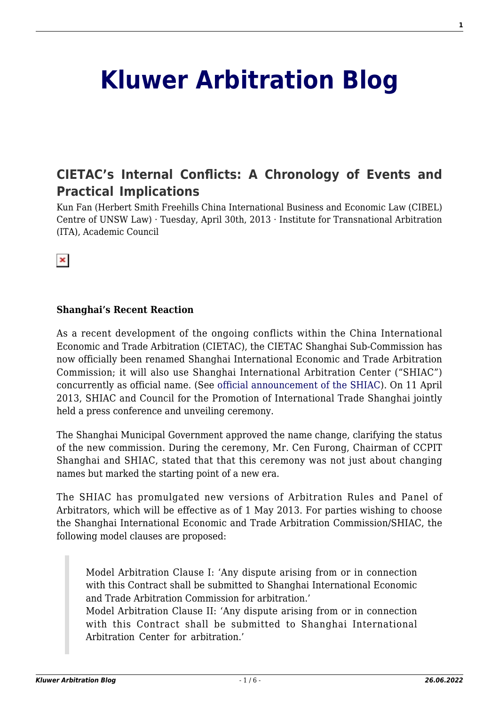# **[Kluwer Arbitration Blog](http://arbitrationblog.kluwerarbitration.com/)**

## **[CIETAC's Internal Conflicts: A Chronology of Events and](http://arbitrationblog.kluwerarbitration.com/2013/04/30/cietacs-internal-conflicts-a-chronology-of-events-and-practical-implications/) [Practical Implications](http://arbitrationblog.kluwerarbitration.com/2013/04/30/cietacs-internal-conflicts-a-chronology-of-events-and-practical-implications/)**

Kun Fan (Herbert Smith Freehills China International Business and Economic Law (CIBEL) Centre of UNSW Law) · Tuesday, April 30th, 2013 · Institute for Transnational Arbitration (ITA), Academic Council

 $\infty$ 

#### **Shanghai's Recent Reaction**

As a recent development of the ongoing conflicts within the China International Economic and Trade Arbitration (CIETAC), the CIETAC Shanghai Sub-Commission has now officially been renamed Shanghai International Economic and Trade Arbitration Commission; it will also use Shanghai International Arbitration Center ("SHIAC") concurrently as official name. (See [official announcement of the SHIAC](http://www.cietac-sh.org/English/Announcement.aspx?nid=460)). On 11 April 2013, SHIAC and Council for the Promotion of International Trade Shanghai jointly held a press conference and unveiling ceremony.

The Shanghai Municipal Government approved the name change, clarifying the status of the new commission. During the ceremony, Mr. Cen Furong, Chairman of CCPIT Shanghai and SHIAC, stated that that this ceremony was not just about changing names but marked the starting point of a new era.

The SHIAC has promulgated new versions of Arbitration Rules and Panel of Arbitrators, which will be effective as of 1 May 2013. For parties wishing to choose the Shanghai International Economic and Trade Arbitration Commission/SHIAC, the following model clauses are proposed:

Model Arbitration Clause I: 'Any dispute arising from or in connection with this Contract shall be submitted to Shanghai International Economic and Trade Arbitration Commission for arbitration.'

Model Arbitration Clause II: 'Any dispute arising from or in connection with this Contract shall be submitted to Shanghai International Arbitration Center for arbitration.'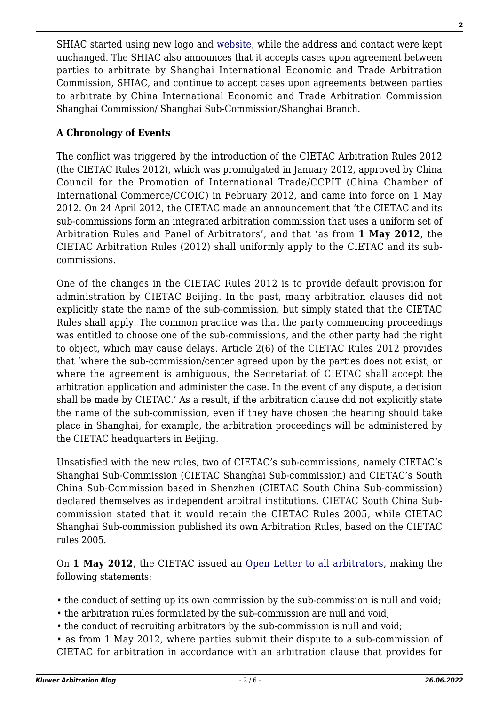SHIAC started using new logo and [website](/KLI_Local/wp-content/plugins/wp-mpdf/themes/www.shiac.org), while the address and contact were kept unchanged. The SHIAC also announces that it accepts cases upon agreement between parties to arbitrate by Shanghai International Economic and Trade Arbitration Commission, SHIAC, and continue to accept cases upon agreements between parties to arbitrate by China International Economic and Trade Arbitration Commission Shanghai Commission/ Shanghai Sub-Commission/Shanghai Branch.

### **A Chronology of Events**

The conflict was triggered by the introduction of the CIETAC Arbitration Rules 2012 (the CIETAC Rules 2012), which was promulgated in January 2012, approved by China Council for the Promotion of International Trade/CCPIT (China Chamber of International Commerce/CCOIC) in February 2012, and came into force on 1 May 2012. On 24 April 2012, the CIETAC made an announcement that 'the CIETAC and its sub-commissions form an integrated arbitration commission that uses a uniform set of Arbitration Rules and Panel of Arbitrators', and that 'as from **1 May 2012**, the CIETAC Arbitration Rules (2012) shall uniformly apply to the CIETAC and its subcommissions.

One of the changes in the CIETAC Rules 2012 is to provide default provision for administration by CIETAC Beijing. In the past, many arbitration clauses did not explicitly state the name of the sub-commission, but simply stated that the CIETAC Rules shall apply. The common practice was that the party commencing proceedings was entitled to choose one of the sub-commissions, and the other party had the right to object, which may cause delays. Article 2(6) of the CIETAC Rules 2012 provides that 'where the sub-commission/center agreed upon by the parties does not exist, or where the agreement is ambiguous, the Secretariat of CIETAC shall accept the arbitration application and administer the case. In the event of any dispute, a decision shall be made by CIETAC.' As a result, if the arbitration clause did not explicitly state the name of the sub-commission, even if they have chosen the hearing should take place in Shanghai, for example, the arbitration proceedings will be administered by the CIETAC headquarters in Beijing.

Unsatisfied with the new rules, two of CIETAC's sub-commissions, namely CIETAC's Shanghai Sub-Commission (CIETAC Shanghai Sub-commission) and CIETAC's South China Sub-Commission based in Shenzhen (CIETAC South China Sub-commission) declared themselves as independent arbitral institutions. CIETAC South China Subcommission stated that it would retain the CIETAC Rules 2005, while CIETAC Shanghai Sub-commission published its own Arbitration Rules, based on the CIETAC rules 2005.

On **1 May 2012**, the CIETAC issued an [Open Letter to all arbitrators,](http://www.cietac.org/index/news/477b7d398e23437f001.cms) making the following statements:

- the conduct of setting up its own commission by the sub-commission is null and void;
- the arbitration rules formulated by the sub-commission are null and void;
- the conduct of recruiting arbitrators by the sub-commission is null and void;
- as from 1 May 2012, where parties submit their dispute to a sub-commission of CIETAC for arbitration in accordance with an arbitration clause that provides for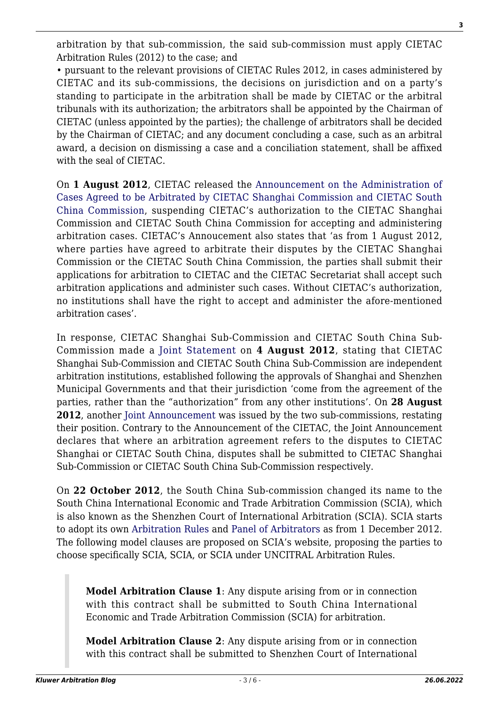arbitration by that sub-commission, the said sub-commission must apply CIETAC Arbitration Rules (2012) to the case; and

• pursuant to the relevant provisions of CIETAC Rules 2012, in cases administered by CIETAC and its sub-commissions, the decisions on jurisdiction and on a party's standing to participate in the arbitration shall be made by CIETAC or the arbitral tribunals with its authorization; the arbitrators shall be appointed by the Chairman of CIETAC (unless appointed by the parties); the challenge of arbitrators shall be decided by the Chairman of CIETAC; and any document concluding a case, such as an arbitral award, a decision on dismissing a case and a conciliation statement, shall be affixed with the seal of CIETAC.

On **1 August 2012**, CIETAC released the [Announcement on the Administration of](http://www.cietac.org/index.cms) [Cases Agreed to be Arbitrated by CIETAC Shanghai Commission and CIETAC South](http://www.cietac.org/index.cms) [China Commission](http://www.cietac.org/index.cms), suspending CIETAC's authorization to the CIETAC Shanghai Commission and CIETAC South China Commission for accepting and administering arbitration cases. CIETAC's Annoucement also states that 'as from 1 August 2012, where parties have agreed to arbitrate their disputes by the CIETAC Shanghai Commission or the CIETAC South China Commission, the parties shall submit their applications for arbitration to CIETAC and the CIETAC Secretariat shall accept such arbitration applications and administer such cases. Without CIETAC's authorization, no institutions shall have the right to accept and administer the afore-mentioned arbitration cases'.

In response, CIETAC Shanghai Sub-Commission and CIETAC South China Sub-Commission made a [Joint Statement](http://www.sccietac.org/main/en/he/T115228.shtml) on **4 August 2012**, stating that CIETAC Shanghai Sub-Commission and CIETAC South China Sub-Commission are independent arbitration institutions, established following the approvals of Shanghai and Shenzhen Municipal Governments and that their jurisdiction 'come from the agreement of the parties, rather than the "authorization" from any other institutions'. On **28 August 2012**, another [Joint Announcement](http://www.sccietac.org/main/en/he/T115237.shtml) was issued by the two sub-commissions, restating their position. Contrary to the Announcement of the CIETAC, the Joint Announcement declares that where an arbitration agreement refers to the disputes to CIETAC Shanghai or CIETAC South China, disputes shall be submitted to CIETAC Shanghai Sub-Commission or CIETAC South China Sub-Commission respectively.

On **22 October 2012**, the South China Sub-commission changed its name to the South China International Economic and Trade Arbitration Commission (SCIA), which is also known as the Shenzhen Court of International Arbitration (SCIA). SCIA starts to adopt its own [Arbitration Rules](http://www.sccietac.org/main/en/arbitration/arbitrationrules/Rules%28English%29/index.shtml#Menu=ChildMenu3) and [Panel of Arbitrators](/KLI_Local/wp-content/plugins/wp-mpdf/themes/www.sccietac.org/upload/20130123/2013123_1358910885660.pdf) as from 1 December 2012. The following model clauses are proposed on SCIA's website, proposing the parties to choose specifically SCIA, SCIA, or SCIA under UNCITRAL Arbitration Rules.

**Model Arbitration Clause 1**: Any dispute arising from or in connection with this contract shall be submitted to South China International Economic and Trade Arbitration Commission (SCIA) for arbitration.

**Model Arbitration Clause 2**: Any dispute arising from or in connection with this contract shall be submitted to Shenzhen Court of International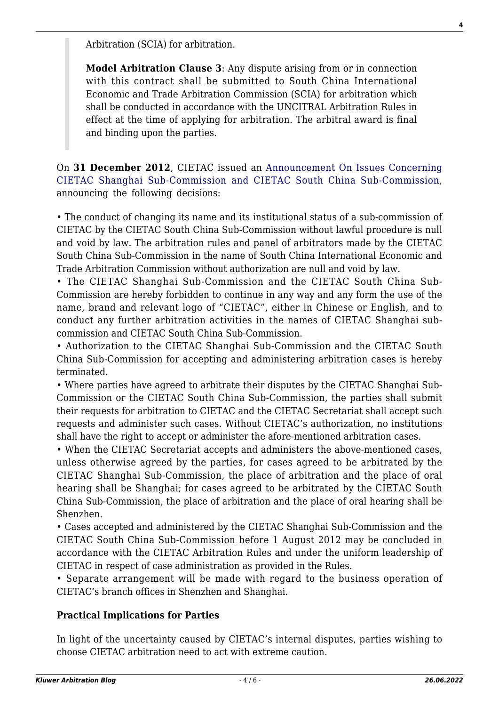Arbitration (SCIA) for arbitration.

**Model Arbitration Clause 3**: Any dispute arising from or in connection with this contract shall be submitted to South China International Economic and Trade Arbitration Commission (SCIA) for arbitration which shall be conducted in accordance with the UNCITRAL Arbitration Rules in effect at the time of applying for arbitration. The arbitral award is final and binding upon the parties.

On **31 December 2012**, CIETAC issued an [Announcement On Issues Concerning](http://www.cietac.org/index.cms) [CIETAC Shanghai Sub-Commission and CIETAC South China Sub-Commission](http://www.cietac.org/index.cms), announcing the following decisions:

• The conduct of changing its name and its institutional status of a sub-commission of CIETAC by the CIETAC South China Sub-Commission without lawful procedure is null and void by law. The arbitration rules and panel of arbitrators made by the CIETAC South China Sub-Commission in the name of South China International Economic and Trade Arbitration Commission without authorization are null and void by law.

• The CIETAC Shanghai Sub-Commission and the CIETAC South China Sub-Commission are hereby forbidden to continue in any way and any form the use of the name, brand and relevant logo of "CIETAC", either in Chinese or English, and to conduct any further arbitration activities in the names of CIETAC Shanghai subcommission and CIETAC South China Sub-Commission.

• Authorization to the CIETAC Shanghai Sub-Commission and the CIETAC South China Sub-Commission for accepting and administering arbitration cases is hereby terminated.

• Where parties have agreed to arbitrate their disputes by the CIETAC Shanghai Sub-Commission or the CIETAC South China Sub-Commission, the parties shall submit their requests for arbitration to CIETAC and the CIETAC Secretariat shall accept such requests and administer such cases. Without CIETAC's authorization, no institutions shall have the right to accept or administer the afore-mentioned arbitration cases.

• When the CIETAC Secretariat accepts and administers the above-mentioned cases, unless otherwise agreed by the parties, for cases agreed to be arbitrated by the CIETAC Shanghai Sub-Commission, the place of arbitration and the place of oral hearing shall be Shanghai; for cases agreed to be arbitrated by the CIETAC South China Sub-Commission, the place of arbitration and the place of oral hearing shall be Shenzhen.

• Cases accepted and administered by the CIETAC Shanghai Sub-Commission and the CIETAC South China Sub-Commission before 1 August 2012 may be concluded in accordance with the CIETAC Arbitration Rules and under the uniform leadership of CIETAC in respect of case administration as provided in the Rules.

• Separate arrangement will be made with regard to the business operation of CIETAC's branch offices in Shenzhen and Shanghai.

#### **Practical Implications for Parties**

In light of the uncertainty caused by CIETAC's internal disputes, parties wishing to choose CIETAC arbitration need to act with extreme caution.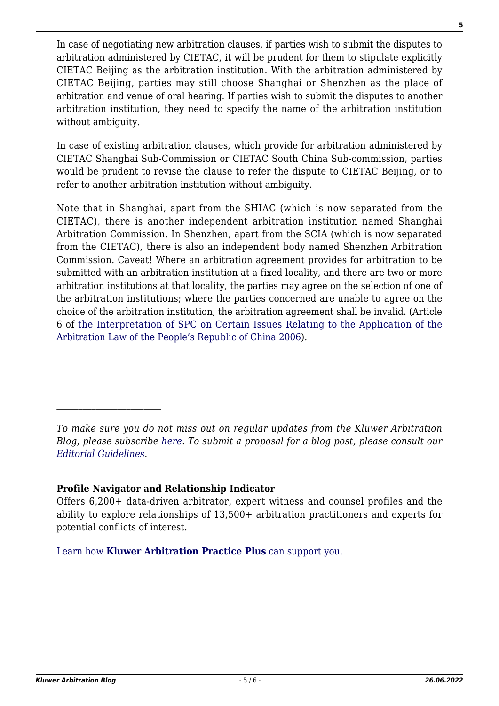In case of negotiating new arbitration clauses, if parties wish to submit the disputes to arbitration administered by CIETAC, it will be prudent for them to stipulate explicitly CIETAC Beijing as the arbitration institution. With the arbitration administered by CIETAC Beijing, parties may still choose Shanghai or Shenzhen as the place of arbitration and venue of oral hearing. If parties wish to submit the disputes to another arbitration institution, they need to specify the name of the arbitration institution without ambiguity.

In case of existing arbitration clauses, which provide for arbitration administered by CIETAC Shanghai Sub-Commission or CIETAC South China Sub-commission, parties would be prudent to revise the clause to refer the dispute to CIETAC Beijing, or to refer to another arbitration institution without ambiguity.

Note that in Shanghai, apart from the SHIAC (which is now separated from the CIETAC), there is another independent arbitration institution named Shanghai Arbitration Commission. In Shenzhen, apart from the SCIA (which is now separated from the CIETAC), there is also an independent body named Shenzhen Arbitration Commission. Caveat! Where an arbitration agreement provides for arbitration to be submitted with an arbitration institution at a fixed locality, and there are two or more arbitration institutions at that locality, the parties may agree on the selection of one of the arbitration institutions; where the parties concerned are unable to agree on the choice of the arbitration institution, the arbitration agreement shall be invalid. (Article 6 of [the Interpretation of SPC on Certain Issues Relating to the Application of the](http://www.cietac.org/index/references/Laws/47607b541d78ce7f001.cms) [Arbitration Law of the People's Republic of China 2006](http://www.cietac.org/index/references/Laws/47607b541d78ce7f001.cms)).

[Learn how](https://www.wolterskluwer.com/en/solutions/kluwerarbitration/practiceplus?utm_source=arbitrationblog&utm_medium=articleCTA&utm_campaign=article-banner) **[Kluwer Arbitration Practice Plus](https://www.wolterskluwer.com/en/solutions/kluwerarbitration/practiceplus?utm_source=arbitrationblog&utm_medium=articleCTA&utm_campaign=article-banner)** [can support you.](https://www.wolterskluwer.com/en/solutions/kluwerarbitration/practiceplus?utm_source=arbitrationblog&utm_medium=articleCTA&utm_campaign=article-banner)

*To make sure you do not miss out on regular updates from the Kluwer Arbitration Blog, please subscribe [here](http://arbitrationblog.kluwerarbitration.com/newsletter/). To submit a proposal for a blog post, please consult our [Editorial Guidelines.](http://arbitrationblog.kluwerarbitration.com/editorial-guidelines/)*

**Profile Navigator and Relationship Indicator**

Offers 6,200+ data-driven arbitrator, expert witness and counsel profiles and the ability to explore relationships of 13,500+ arbitration practitioners and experts for potential conflicts of interest.